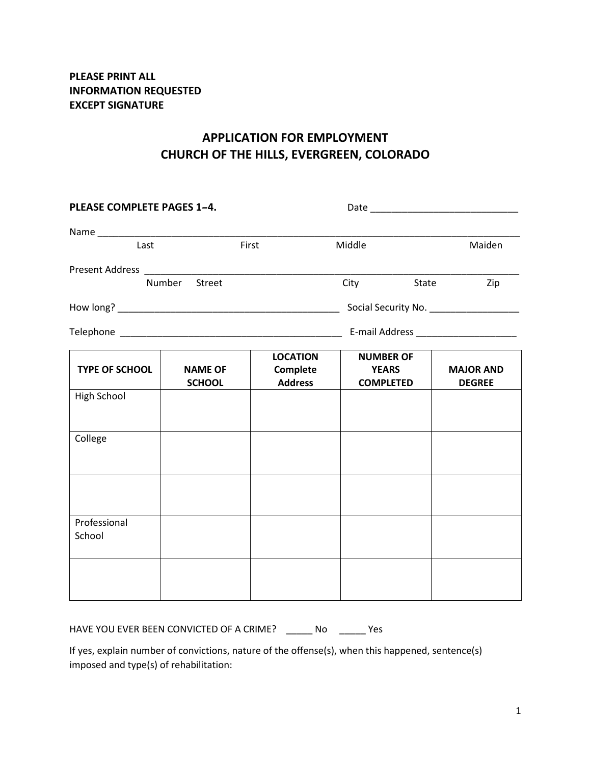## **APPLICATION FOR EMPLOYMENT CHURCH OF THE HILLS, EVERGREEN, COLORADO**

| PLEASE COMPLETE PAGES 1-4. |                                 |                                               |                                                      |       |                                          |
|----------------------------|---------------------------------|-----------------------------------------------|------------------------------------------------------|-------|------------------------------------------|
|                            |                                 |                                               |                                                      |       |                                          |
| Last                       |                                 | First                                         | Middle                                               |       | Maiden                                   |
|                            |                                 |                                               |                                                      |       |                                          |
| Number<br>Street           |                                 |                                               | City                                                 | State | Zip                                      |
|                            |                                 |                                               |                                                      |       | Social Security No. ____________________ |
|                            |                                 |                                               |                                                      |       | E-mail Address ________________________  |
| <b>TYPE OF SCHOOL</b>      | <b>NAME OF</b><br><b>SCHOOL</b> | <b>LOCATION</b><br>Complete<br><b>Address</b> | <b>NUMBER OF</b><br><b>YEARS</b><br><b>COMPLETED</b> |       | <b>MAJOR AND</b><br><b>DEGREE</b>        |
| High School                |                                 |                                               |                                                      |       |                                          |
| College                    |                                 |                                               |                                                      |       |                                          |
|                            |                                 |                                               |                                                      |       |                                          |
| Professional<br>School     |                                 |                                               |                                                      |       |                                          |
|                            |                                 |                                               |                                                      |       |                                          |

HAVE YOU EVER BEEN CONVICTED OF A CRIME? \_\_\_\_\_\_ No \_\_\_\_\_\_ Yes

If yes, explain number of convictions, nature of the offense(s), when this happened, sentence(s) imposed and type(s) of rehabilitation: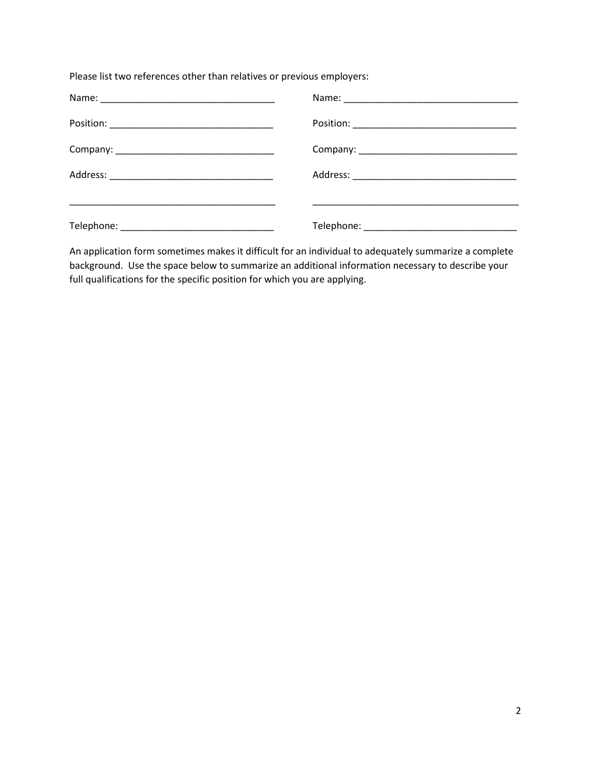Please list two references other than relatives or previous employers:

An application form sometimes makes it difficult for an individual to adequately summarize a complete background. Use the space below to summarize an additional information necessary to describe your full qualifications for the specific position for which you are applying.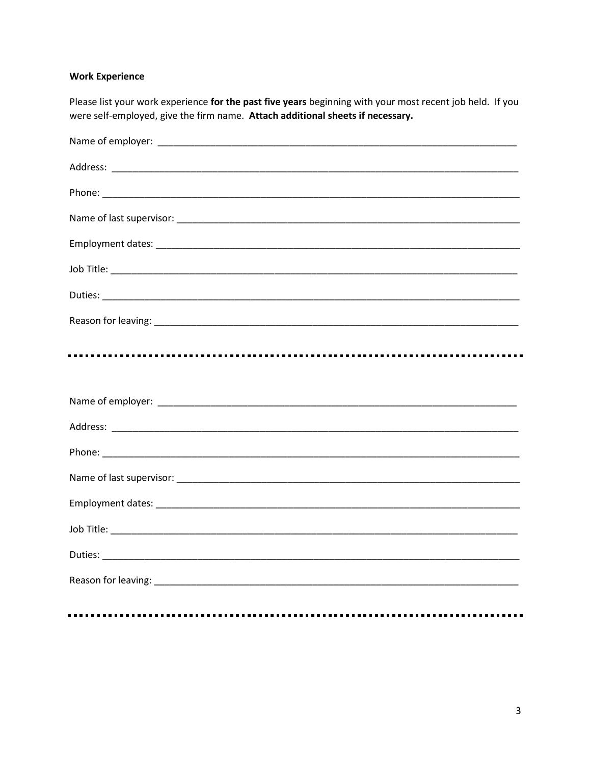## **Work Experience**

......

Please list your work experience for the past five years beginning with your most recent job held. If you were self-employed, give the firm name. Attach additional sheets if necessary.